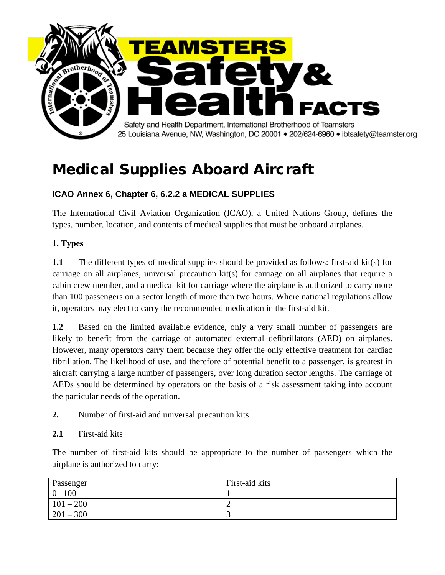

# Medical Supplies Aboard Aircraft

# **ICAO Annex 6, Chapter 6, 6.2.2 a MEDICAL SUPPLIES**

The International Civil Aviation Organization (ICAO), a United Nations Group, defines the types, number, location, and contents of medical supplies that must be onboard airplanes.

# **1. Types**

**1.1** The different types of medical supplies should be provided as follows: first-aid kit(s) for carriage on all airplanes, universal precaution kit(s) for carriage on all airplanes that require a cabin crew member, and a medical kit for carriage where the airplane is authorized to carry more than 100 passengers on a sector length of more than two hours. Where national regulations allow it, operators may elect to carry the recommended medication in the first-aid kit.

**1.2** Based on the limited available evidence, only a very small number of passengers are likely to benefit from the carriage of automated external defibrillators (AED) on airplanes. However, many operators carry them because they offer the only effective treatment for cardiac fibrillation. The likelihood of use, and therefore of potential benefit to a passenger, is greatest in aircraft carrying a large number of passengers, over long duration sector lengths. The carriage of AEDs should be determined by operators on the basis of a risk assessment taking into account the particular needs of the operation.

**2.** Number of first-aid and universal precaution kits

# **2.1** First-aid kits

The number of first-aid kits should be appropriate to the number of passengers which the airplane is authorized to carry:

| Passenger   | First-aid kits |
|-------------|----------------|
| $  0 - 100$ |                |
| $101 - 200$ | ∸              |
| $201 - 300$ |                |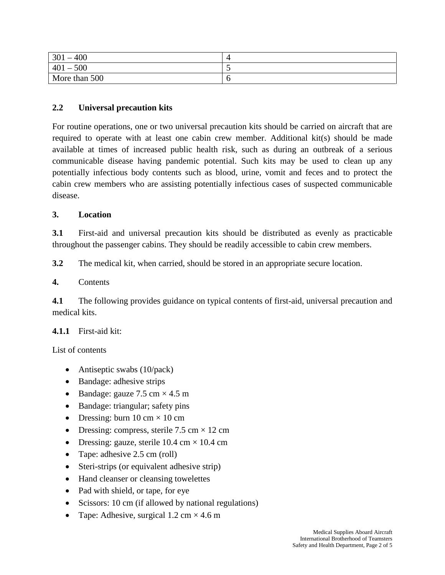| 400<br>301    |   |
|---------------|---|
| $-500$<br>401 | ັ |
| More than 500 | U |

# **2.2 Universal precaution kits**

For routine operations, one or two universal precaution kits should be carried on aircraft that are required to operate with at least one cabin crew member. Additional kit(s) should be made available at times of increased public health risk, such as during an outbreak of a serious communicable disease having pandemic potential. Such kits may be used to clean up any potentially infectious body contents such as blood, urine, vomit and feces and to protect the cabin crew members who are assisting potentially infectious cases of suspected communicable disease.

# **3. Location**

**3.1** First-aid and universal precaution kits should be distributed as evenly as practicable throughout the passenger cabins. They should be readily accessible to cabin crew members.

**3.2** The medical kit, when carried, should be stored in an appropriate secure location.

# **4.** Contents

**4.1** The following provides guidance on typical contents of first-aid, universal precaution and medical kits.

# **4.1.1** First-aid kit:

List of contents

- Antiseptic swabs (10/pack)
- Bandage: adhesive strips
- Bandage: gauze  $7.5 \text{ cm} \times 4.5 \text{ m}$
- Bandage: triangular; safety pins
- Dressing: burn  $10 \text{ cm} \times 10 \text{ cm}$
- Dressing: compress, sterile  $7.5 \text{ cm} \times 12 \text{ cm}$
- Dressing: gauze, sterile  $10.4 \text{ cm} \times 10.4 \text{ cm}$
- Tape: adhesive 2.5 cm (roll)
- Steri-strips (or equivalent adhesive strip)
- Hand cleanser or cleansing towelettes
- Pad with shield, or tape, for eye
- Scissors: 10 cm (if allowed by national regulations)
- Tape: Adhesive, surgical  $1.2 \text{ cm} \times 4.6 \text{ m}$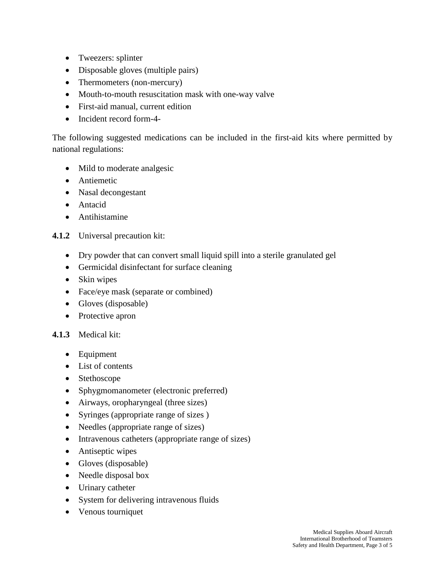- Tweezers: splinter
- Disposable gloves (multiple pairs)
- Thermometers (non-mercury)
- Mouth-to-mouth resuscitation mask with one-way valve
- First-aid manual, current edition
- Incident record form-4-

The following suggested medications can be included in the first-aid kits where permitted by national regulations:

- Mild to moderate analgesic
- Antiemetic
- Nasal decongestant
- Antacid
- Antihistamine

# **4.1.2** Universal precaution kit:

- Dry powder that can convert small liquid spill into a sterile granulated gel
- Germicidal disinfectant for surface cleaning
- Skin wipes
- Face/eye mask (separate or combined)
- Gloves (disposable)
- Protective apron

# **4.1.3** Medical kit:

- Equipment
- List of contents
- Stethoscope
- Sphygmomanometer (electronic preferred)
- Airways, oropharyngeal (three sizes)
- Syringes (appropriate range of sizes )
- Needles (appropriate range of sizes)
- Intravenous catheters (appropriate range of sizes)
- Antiseptic wipes
- Gloves (disposable)
- Needle disposal box
- Urinary catheter
- System for delivering intravenous fluids
- Venous tourniquet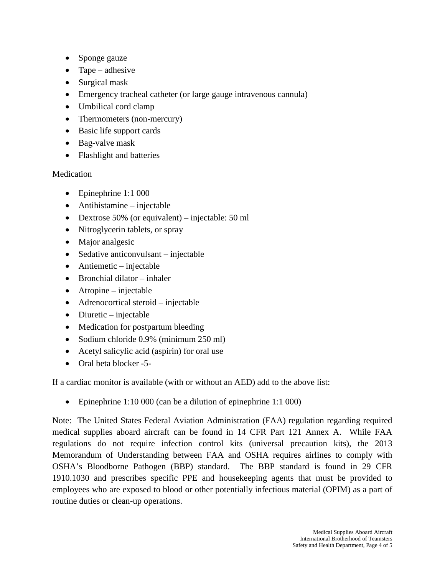- Sponge gauze
- Tape adhesive
- Surgical mask
- Emergency tracheal catheter (or large gauge intravenous cannula)
- Umbilical cord clamp
- Thermometers (non-mercury)
- Basic life support cards
- Bag-valve mask
- Flashlight and batteries

# Medication

- Epinephrine 1:1 000
- Antihistamine injectable
- Dextrose 50% (or equivalent) injectable: 50 ml
- Nitroglycerin tablets, or spray
- Major analgesic
- Sedative anticonvulsant injectable
- Antiemetic injectable
- Bronchial dilator inhaler
- Atropine injectable
- Adrenocortical steroid injectable
- Diuretic injectable
- Medication for postpartum bleeding
- Sodium chloride 0.9% (minimum 250 ml)
- Acetyl salicylic acid (aspirin) for oral use
- Oral beta blocker -5-

If a cardiac monitor is available (with or without an AED) add to the above list:

• Epinephrine 1:10 000 (can be a dilution of epinephrine 1:1 000)

Note: The United States Federal Aviation Administration (FAA) regulation regarding required medical supplies aboard aircraft can be found in 14 CFR Part 121 Annex A. While FAA regulations do not require infection control kits (universal precaution kits), the 2013 Memorandum of Understanding between FAA and OSHA requires airlines to comply with OSHA's Bloodborne Pathogen (BBP) standard. The BBP standard is found in 29 CFR 1910.1030 and prescribes specific PPE and housekeeping agents that must be provided to employees who are exposed to blood or other potentially infectious material (OPIM) as a part of routine duties or clean-up operations.